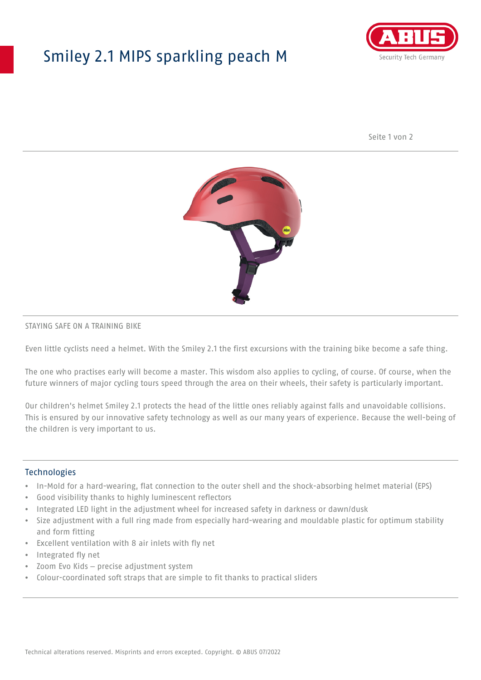## Smiley 2.1 MIPS sparkling peach M



Seite 1 von 2



#### STAYING SAFE ON A TRAINING BIKE

Even little cyclists need a helmet. With the Smiley 2.1 the first excursions with the training bike become a safe thing.

The one who practises early will become a master. This wisdom also applies to cycling, of course. Of course, when the future winners of major cycling tours speed through the area on their wheels, their safety is particularly important.

Our children's helmet Smiley 2.1 protects the head of the little ones reliably against falls and unavoidable collisions. This is ensured by our innovative safety technology as well as our many years of experience. Because the well-being of the children is very important to us.

#### **Technologies**

- In-Mold for a hard-wearing, flat connection to the outer shell and the shock-absorbing helmet material (EPS)
- Good visibility thanks to highly luminescent reflectors
- Integrated LED light in the adjustment wheel for increased safety in darkness or dawn/dusk
- Size adjustment with a full ring made from especially hard-wearing and mouldable plastic for optimum stability and form fitting
- Excellent ventilation with 8 air inlets with fly net
- Integrated fly net
- Zoom Evo Kids precise adjustment system
- Colour-coordinated soft straps that are simple to fit thanks to practical sliders